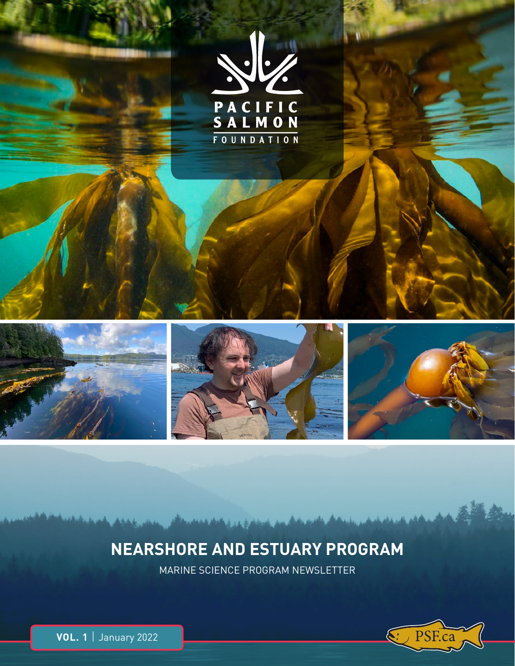

# **NEARSHORE AND ESTUARY PROGRAM**

MARINE SCIENCE PROGRAM NEWSLETTER

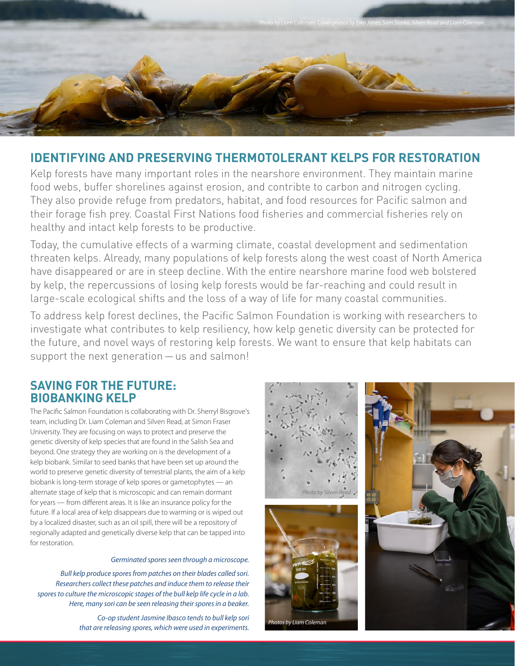

# **IDENTIFYING AND PRESERVING THERMOTOLERANT KELPS FOR RESTORATION**

Kelp forests have many important roles in the nearshore environment. They maintain marine food webs, buffer shorelines against erosion, and contribte to carbon and nitrogen cycling. They also provide refuge from predators, habitat, and food resources for Pacific salmon and their forage fish prey. Coastal First Nations food fisheries and commercial fisheries rely on healthy and intact kelp forests to be productive.

Today, the cumulative effects of a warming climate, coastal development and sedimentation threaten kelps. Already, many populations of kelp forests along the west coast of North America have disappeared or are in steep decline. With the entire nearshore marine food web bolstered by kelp, the repercussions of losing kelp forests would be far-reaching and could result in large-scale ecological shifts and the loss of a way of life for many coastal communities.

To address kelp forest declines, the Pacific Salmon Foundation is working with researchers to investigate what contributes to kelp resiliency, how kelp genetic diversity can be protected for the future, and novel ways of restoring kelp forests. We want to ensure that kelp habitats can support the next generation — us and salmon!

## **SAVING FOR THE FUTURE: BIOBANKING KELP**

The Pacific Salmon Foundation is collaborating with Dr. Sherryl Bisgrove's team, including Dr. Liam Coleman and Silven Read, at Simon Fraser University. They are focusing on ways to protect and preserve the genetic diversity of kelp species that are found in the Salish Sea and beyond. One strategy they are working on is the development of a kelp biobank. Similar to seed banks that have been set up around the world to preserve genetic diversity of terrestrial plants, the aim of a kelp biobank is long-term storage of kelp spores or gametophytes — an alternate stage of kelp that is microscopic and can remain dormant for years — from different areas. It is like an insurance policy for the future. If a local area of kelp disappears due to warming or is wiped out by a localized disaster, such as an oil spill, there will be a repository of regionally adapted and genetically diverse kelp that can be tapped into for restoration.

#### Germinated spores seen through a microscope.

Bull kelp produce spores from patches on their blades called sori. Researchers collect these patches and induce them to release their spores to culture the microscopic stages of the bull kelp life cycle in a lab. Here, many sori can be seen releasing their spores in a beaker.

> Co-op student Jasmine Ibasco tends to bull kelp sori that are releasing spores, which were used in experiments.



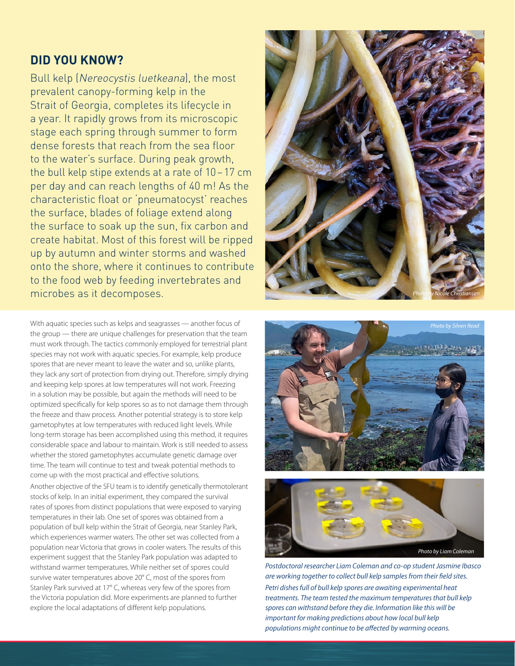# **DID YOU KNOW?**

Bull kelp (Nereocystis luetkeana), the most prevalent canopy-forming kelp in the Strait of Georgia, completes its lifecycle in a year. It rapidly grows from its microscopic stage each spring through summer to form dense forests that reach from the sea floor to the water's surface. During peak growth, the bull kelp stipe extends at a rate of 10-17 cm per day and can reach lengths of 40 m! As the characteristic float or 'pneumatocyst' reaches the surface, blades of foliage extend along the surface to soak up the sun, fix carbon and create habitat. Most of this forest will be ripped up by autumn and winter storms and washed onto the shore, where it continues to contribute to the food web by feeding invertebrates and microbes as it decomposes.

With aquatic species such as kelps and seagrasses — another focus of the group — there are unique challenges for preservation that the team must work through. The tactics commonly employed for terrestrial plant species may not work with aquatic species. For example, kelp produce spores that are never meant to leave the water and so, unlike plants, they lack any sort of protection from drying out. Therefore, simply drying and keeping kelp spores at low temperatures will not work. Freezing in a solution may be possible, but again the methods will need to be optimized specifically for kelp spores so as to not damage them through the freeze and thaw process. Another potential strategy is to store kelp gametophytes at low temperatures with reduced light levels. While long-term storage has been accomplished using this method, it requires considerable space and labour to maintain. Work is still needed to assess whether the stored gametophytes accumulate genetic damage over time. The team will continue to test and tweak potential methods to come up with the most practical and effective solutions.

Another objective of the SFU team is to identify genetically thermotolerant stocks of kelp. In an initial experiment, they compared the survival rates of spores from distinct populations that were exposed to varying temperatures in their lab. One set of spores was obtained from a population of bull kelp within the Strait of Georgia, near Stanley Park, which experiences warmer waters. The other set was collected from a population near Victoria that grows in cooler waters. The results of this experiment suggest that the Stanley Park population was adapted to withstand warmer temperatures. While neither set of spores could survive water temperatures above 20° C, most of the spores from Stanley Park survived at 17° C, whereas very few of the spores from the Victoria population did. More experiments are planned to further explore the local adaptations of different kelp populations.







Postdoctoral researcher Liam Coleman and co-op student Jasmine Ibasco are working together to collect bull kelp samples from their field sites. Petri dishes full of bull kelp spores are awaiting experimental heat treatments. The team tested the maximum temperatures that bull kelp spores can withstand before they die. Information like this will be important for making predictions about how local bull kelp populations might continue to be affected by warming oceans.